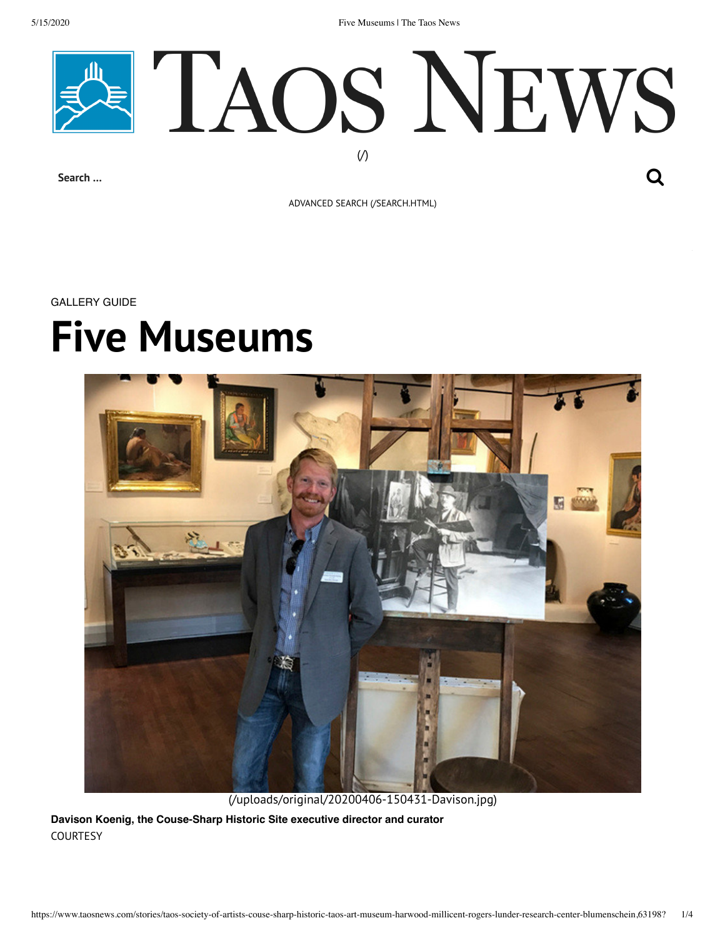5/15/2020 Five Museums | The Taos News



ADVANCED SEARCH [\(/SEARCH.HTML\)](https://www.taosnews.com/search.html)

GALLERY GUIDE

## **Five Museums**



[\(/uploads/original/20200406-150431-Davison.jpg\)](https://www.taosnews.com/uploads/original/20200406-150431-Davison.jpg)

**Davison Koenig, the Couse-Sharp Historic Site executive director and curator COURTESY**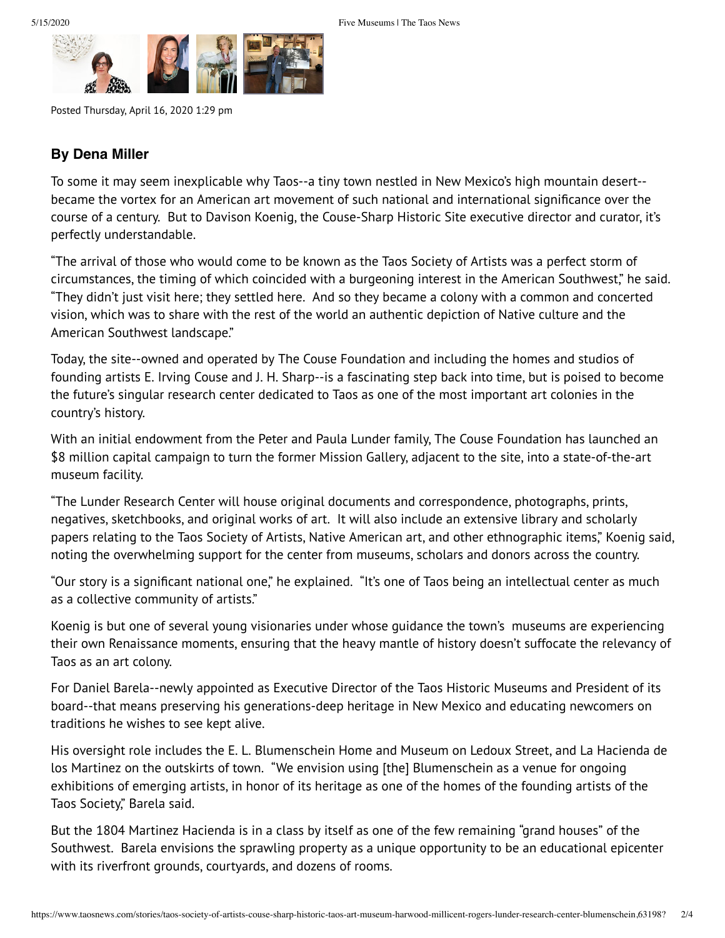

Posted Thursday, April 16, 2020 1:29 pm

## **By Dena Miller**

To some it may seem inexplicable why Taos--a tiny town nestled in New Mexico's high mountain desert- became the vortex for an American art movement of such national and international significance over the course of a century. But to Davison Koenig, the Couse-Sharp Historic Site executive director and curator, it's perfectly understandable.

"The arrival of those who would come to be known as the Taos Society of Artists was a perfect storm of circumstances, the timing of which coincided with a burgeoning interest in the American Southwest," he said. "They didn't just visit here; they settled here. And so they became a colony with a common and concerted vision, which was to share with the rest of the world an authentic depiction of Native culture and the American Southwest landscape."

Today, the site--owned and operated by The Couse Foundation and including the homes and studios of founding artists E. Irving Couse and J. H. Sharp--is a fascinating step back into time, but is poised to become the future's singular research center dedicated to Taos as one of the most important art colonies in the country's history.

With an initial endowment from the Peter and Paula Lunder family, The Couse Foundation has launched an \$8 million capital campaign to turn the former Mission Gallery, adjacent to the site, into a state-of-the-art museum facility.

"The Lunder Research Center will house original documents and correspondence, photographs, prints, negatives, sketchbooks, and original works of art. It will also include an extensive library and scholarly papers relating to the Taos Society of Artists, Native American art, and other ethnographic items," Koenig said, noting the overwhelming support for the center from museums, scholars and donors across the country.

"Our story is a significant national one," he explained. "It's one of Taos being an intellectual center as much as a collective community of artists."

Koenig is but one of several young visionaries under whose guidance the town's museums are experiencing their own Renaissance moments, ensuring that the heavy mantle of history doesn't suffocate the relevancy of Taos as an art colony.

For Daniel Barela--newly appointed as Executive Director of the Taos Historic Museums and President of its board--that means preserving his generations-deep heritage in New Mexico and educating newcomers on traditions he wishes to see kept alive.

His oversight role includes the E. L. Blumenschein Home and Museum on Ledoux Street, and La Hacienda de los Martinez on the outskirts of town. "We envision using [the] Blumenschein as a venue for ongoing exhibitions of emerging artists, in honor of its heritage as one of the homes of the founding artists of the Taos Society," Barela said.

But the 1804 Martinez Hacienda is in a class by itself as one of the few remaining "grand houses" of the Southwest. Barela envisions the sprawling property as a unique opportunity to be an educational epicenter with its riverfront grounds, courtyards, and dozens of rooms.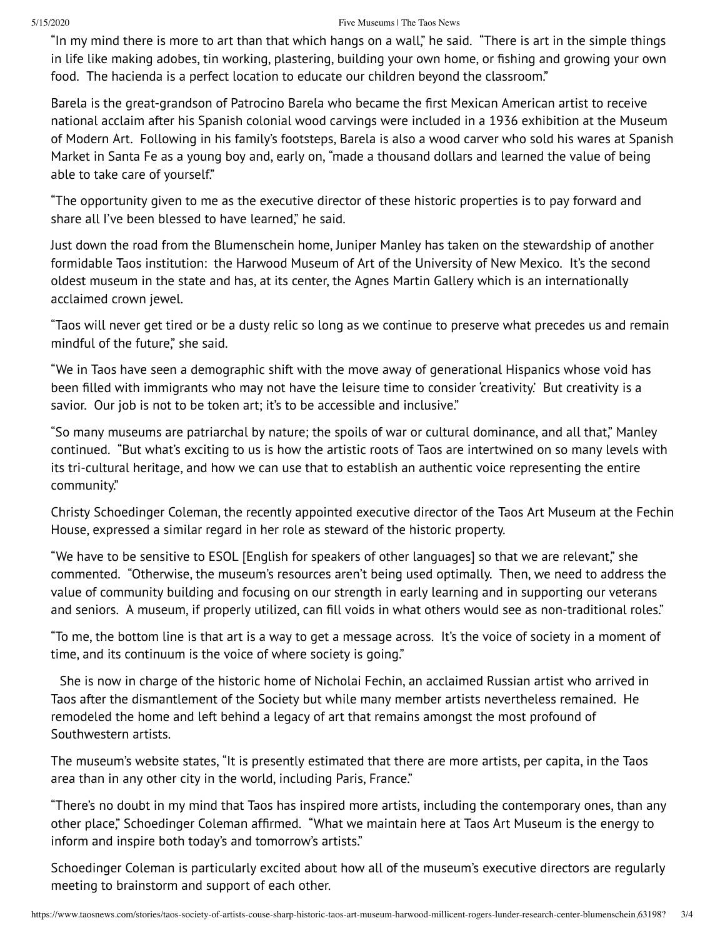## 5/15/2020 Five Museums | The Taos News

"In my mind there is more to art than that which hangs on a wall," he said. "There is art in the simple things in life like making adobes, tin working, plastering, building your own home, or fishing and growing your own food. The hacienda is a perfect location to educate our children beyond the classroom."

Barela is the great-grandson of Patrocino Barela who became the first Mexican American artist to receive national acclaim after his Spanish colonial wood carvings were included in a 1936 exhibition at the Museum of Modern Art. Following in his family's footsteps, Barela is also a wood carver who sold his wares at Spanish Market in Santa Fe as a young boy and, early on, "made a thousand dollars and learned the value of being able to take care of yourself."

"The opportunity given to me as the executive director of these historic properties is to pay forward and share all I've been blessed to have learned," he said.

Just down the road from the Blumenschein home, Juniper Manley has taken on the stewardship of another formidable Taos institution: the Harwood Museum of Art of the University of New Mexico. It's the second oldest museum in the state and has, at its center, the Agnes Martin Gallery which is an internationally acclaimed crown jewel.

"Taos will never get tired or be a dusty relic so long as we continue to preserve what precedes us and remain mindful of the future," she said.

"We in Taos have seen a demographic shift with the move away of generational Hispanics whose void has been filled with immigrants who may not have the leisure time to consider 'creativity.' But creativity is a savior. Our job is not to be token art; it's to be accessible and inclusive."

"So many museums are patriarchal by nature; the spoils of war or cultural dominance, and all that," Manley continued. "But what's exciting to us is how the artistic roots of Taos are intertwined on so many levels with its tri-cultural heritage, and how we can use that to establish an authentic voice representing the entire community."

Christy Schoedinger Coleman, the recently appointed executive director of the Taos Art Museum at the Fechin House, expressed a similar regard in her role as steward of the historic property.

"We have to be sensitive to ESOL [English for speakers of other languages] so that we are relevant," she commented. "Otherwise, the museum's resources aren't being used optimally. Then, we need to address the value of community building and focusing on our strength in early learning and in supporting our veterans and seniors. A museum, if properly utilized, can fill voids in what others would see as non-traditional roles."

"To me, the bottom line is that art is a way to get a message across. It's the voice of society in a moment of time, and its continuum is the voice of where society is going."

She is now in charge of the historic home of Nicholai Fechin, an acclaimed Russian artist who arrived in Taos after the dismantlement of the Society but while many member artists nevertheless remained. He remodeled the home and left behind a legacy of art that remains amongst the most profound of Southwestern artists.

The museum's website states, "It is presently estimated that there are more artists, per capita, in the Taos area than in any other city in the world, including Paris, France."

"There's no doubt in my mind that Taos has inspired more artists, including the contemporary ones, than any other place," Schoedinger Coleman affirmed. "What we maintain here at Taos Art Museum is the energy to inform and inspire both today's and tomorrow's artists."

Schoedinger Coleman is particularly excited about how all of the museum's executive directors are regularly meeting to brainstorm and support of each other.